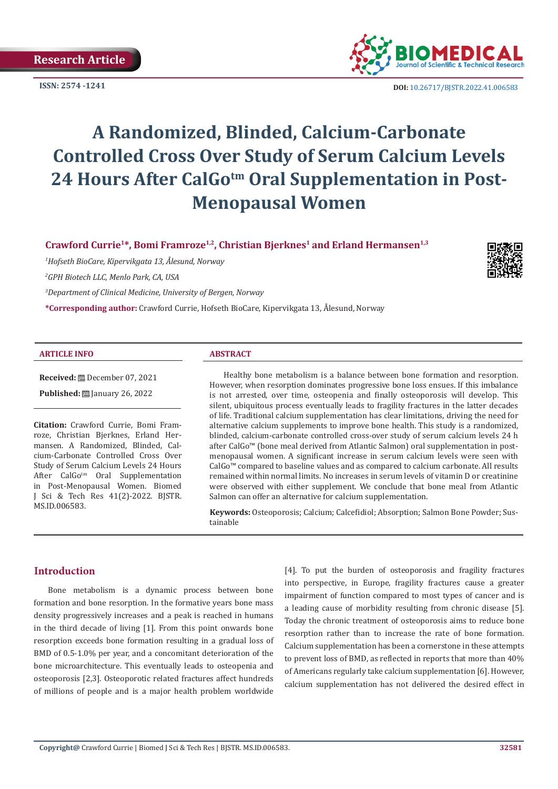

**ISSN: 2574 -1241 DOI:** [10.26717/BJSTR.2022.41.006583](https://dx.doi.org/10.26717/BJSTR.2022.41.006583)

# **A Randomized, Blinded, Calcium-Carbonate Controlled Cross Over Study of Serum Calcium Levels**  24 Hours After CalGo<sup>tm</sup> Oral Supplementation in Post-**Menopausal Women**

**Crawford Currie1\*, Bomi Framroze1,2, Christian Bjerknes1 and Erland Hermansen1,3**

*1 Hofseth BioCare, Kipervikgata 13, Ålesund, Norway*

*2 GPH Biotech LLC, Menlo Park, CA, USA*

*3 Department of Clinical Medicine, University of Bergen, Norway*

**\*Corresponding author:** Crawford Currie, Hofseth BioCare, Kipervikgata 13, Ålesund, Norway

#### **ARTICLE INFO ABSTRACT**

**Received:** December 07, 2021 **Published:** ■ January 26, 2022

**Citation:** Crawford Currie, Bomi Framroze, Christian Bjerknes, Erland Hermansen. A Randomized, Blinded, Calcium-Carbonate Controlled Cross Over Study of Serum Calcium Levels 24 Hours After CalGo<sup>tm</sup> Oral Supplementation in Post-Menopausal Women. Biomed J Sci & Tech Res 41(2)-2022. BJSTR. MS.ID.006583.

Healthy bone metabolism is a balance between bone formation and resorption. However, when resorption dominates progressive bone loss ensues. If this imbalance is not arrested, over time, osteopenia and finally osteoporosis will develop. This silent, ubiquitous process eventually leads to fragility fractures in the latter decades of life. Traditional calcium supplementation has clear limitations, driving the need for alternative calcium supplements to improve bone health. This study is a randomized, blinded, calcium-carbonate controlled cross-over study of serum calcium levels 24 h after CalGo™ (bone meal derived from Atlantic Salmon) oral supplementation in postmenopausal women. A significant increase in serum calcium levels were seen with CalGo™ compared to baseline values and as compared to calcium carbonate. All results remained within normal limits. No increases in serum levels of vitamin D or creatinine were observed with either supplement. We conclude that bone meal from Atlantic Salmon can offer an alternative for calcium supplementation.

**Keywords:** Osteoporosis; Calcium; Calcefidiol; Absorption; Salmon Bone Powder; Sustainable

# **Introduction**

Bone metabolism is a dynamic process between bone formation and bone resorption. In the formative years bone mass density progressively increases and a peak is reached in humans in the third decade of living [1]. From this point onwards bone resorption exceeds bone formation resulting in a gradual loss of BMD of 0.5-1.0% per year, and a concomitant deterioration of the bone microarchitecture. This eventually leads to osteopenia and osteoporosis [2,3]. Osteoporotic related fractures affect hundreds of millions of people and is a major health problem worldwide

[4]. To put the burden of osteoporosis and fragility fractures into perspective, in Europe, fragility fractures cause a greater impairment of function compared to most types of cancer and is a leading cause of morbidity resulting from chronic disease [5]. Today the chronic treatment of osteoporosis aims to reduce bone resorption rather than to increase the rate of bone formation. Calcium supplementation has been a cornerstone in these attempts to prevent loss of BMD, as reflected in reports that more than 40% of Americans regularly take calcium supplementation [6]. However, calcium supplementation has not delivered the desired effect in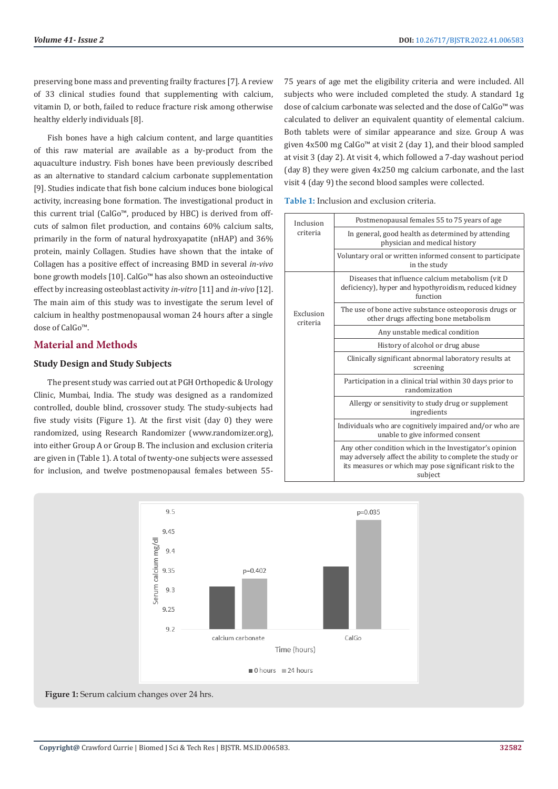preserving bone mass and preventing frailty fractures [7]. A review of 33 clinical studies found that supplementing with calcium, vitamin D, or both, failed to reduce fracture risk among otherwise healthy elderly individuals [8].

Fish bones have a high calcium content, and large quantities of this raw material are available as a by-product from the aquaculture industry. Fish bones have been previously described as an alternative to standard calcium carbonate supplementation [9]. Studies indicate that fish bone calcium induces bone biological activity, increasing bone formation. The investigational product in this current trial (CalGo™, produced by HBC) is derived from offcuts of salmon filet production, and contains 60% calcium salts, primarily in the form of natural hydroxyapatite (nHAP) and 36% protein, mainly Collagen. Studies have shown that the intake of Collagen has a positive effect of increasing BMD in several *in-vivo* bone growth models [10]. CalGo™ has also shown an osteoinductive effect by increasing osteoblast activity *in-vitro* [11] and *in-vivo* [12]. The main aim of this study was to investigate the serum level of calcium in healthy postmenopausal woman 24 hours after a single dose of CalGo™.

# **Material and Methods**

# **Study Design and Study Subjects**

The present study was carried out at PGH Orthopedic & Urology Clinic, Mumbai, India. The study was designed as a randomized controlled, double blind, crossover study. The study-subjects had five study visits (Figure 1). At the first visit (day 0) they were randomized, using Research Randomizer (www.randomizer.org), into either Group A or Group B. The inclusion and exclusion criteria are given in (Table 1). A total of twenty-one subjects were assessed for inclusion, and twelve postmenopausal females between 5575 years of age met the eligibility criteria and were included. All subjects who were included completed the study. A standard 1g dose of calcium carbonate was selected and the dose of CalGo™ was calculated to deliver an equivalent quantity of elemental calcium. Both tablets were of similar appearance and size. Group A was given 4x500 mg CalGo™ at visit 2 (day 1), and their blood sampled at visit 3 (day 2). At visit 4, which followed a 7-day washout period (day 8) they were given 4x250 mg calcium carbonate, and the last visit 4 (day 9) the second blood samples were collected.

**Table 1:** Inclusion and exclusion criteria.

| Inclusion<br>criteria | Postmenopausal females 55 to 75 years of age                                                                                                                                              |
|-----------------------|-------------------------------------------------------------------------------------------------------------------------------------------------------------------------------------------|
|                       | In general, good health as determined by attending<br>physician and medical history                                                                                                       |
|                       | Voluntary oral or written informed consent to participate<br>in the study                                                                                                                 |
| Exclusion<br>criteria | Diseases that influence calcium metabolism (vit D)<br>deficiency), hyper and hypothyroidism, reduced kidney<br>function                                                                   |
|                       | The use of bone active substance osteoporosis drugs or<br>other drugs affecting bone metabolism                                                                                           |
|                       | Any unstable medical condition                                                                                                                                                            |
|                       | History of alcohol or drug abuse                                                                                                                                                          |
|                       | Clinically significant abnormal laboratory results at<br>screening                                                                                                                        |
|                       | Participation in a clinical trial within 30 days prior to<br>randomization                                                                                                                |
|                       | Allergy or sensitivity to study drug or supplement<br>ingredients                                                                                                                         |
|                       | Individuals who are cognitively impaired and/or who are<br>unable to give informed consent                                                                                                |
|                       | Any other condition which in the Investigator's opinion<br>may adversely affect the ability to complete the study or<br>its measures or which may pose significant risk to the<br>subject |

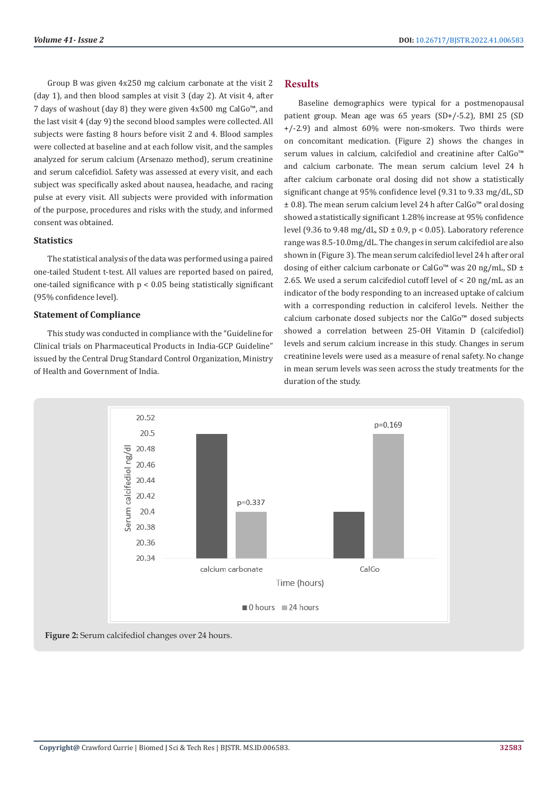Group B was given 4x250 mg calcium carbonate at the visit 2 (day 1), and then blood samples at visit 3 (day 2). At visit 4, after 7 days of washout (day 8) they were given 4x500 mg CalGo™, and the last visit 4 (day 9) the second blood samples were collected. All subjects were fasting 8 hours before visit 2 and 4. Blood samples were collected at baseline and at each follow visit, and the samples analyzed for serum calcium (Arsenazo method), serum creatinine and serum calcefidiol. Safety was assessed at every visit, and each subject was specifically asked about nausea, headache, and racing pulse at every visit. All subjects were provided with information of the purpose, procedures and risks with the study, and informed consent was obtained.

# **Statistics**

The statistical analysis of the data was performed using a paired one-tailed Student t-test. All values are reported based on paired, one-tailed significance with  $p < 0.05$  being statistically significant (95% confidence level).

#### **Statement of Compliance**

This study was conducted in compliance with the "Guideline for Clinical trials on Pharmaceutical Products in India-GCP Guideline" issued by the Central Drug Standard Control Organization, Ministry of Health and Government of India.

# **Results**

Baseline demographics were typical for a postmenopausal patient group. Mean age was 65 years (SD+/-5.2), BMI 25 (SD +/-2.9) and almost 60% were non-smokers. Two thirds were on concomitant medication. (Figure 2) shows the changes in serum values in calcium, calcifediol and creatinine after CalGo<sup>™</sup> and calcium carbonate. The mean serum calcium level 24 h after calcium carbonate oral dosing did not show a statistically significant change at 95% confidence level (9.31 to 9.33 mg/dL, SD ± 0.8). The mean serum calcium level 24 h after CalGo™ oral dosing showed a statistically significant 1.28% increase at 95% confidence level (9.36 to 9.48 mg/dL, SD  $\pm$  0.9, p < 0.05). Laboratory reference range was 8.5-10.0mg/dL. The changes in serum calcifediol are also shown in (Figure 3). The mean serum calcifediol level 24 h after oral dosing of either calcium carbonate or CalGo<sup>™</sup> was 20 ng/mL, SD ± 2.65. We used a serum calcifediol cutoff level of < 20 ng/mL as an indicator of the body responding to an increased uptake of calcium with a corresponding reduction in calciferol levels. Neither the calcium carbonate dosed subjects nor the CalGo™ dosed subjects showed a correlation between 25-OH Vitamin D (calcifediol) levels and serum calcium increase in this study. Changes in serum creatinine levels were used as a measure of renal safety. No change in mean serum levels was seen across the study treatments for the duration of the study.



**Figure 2:** Serum calcifediol changes over 24 hours.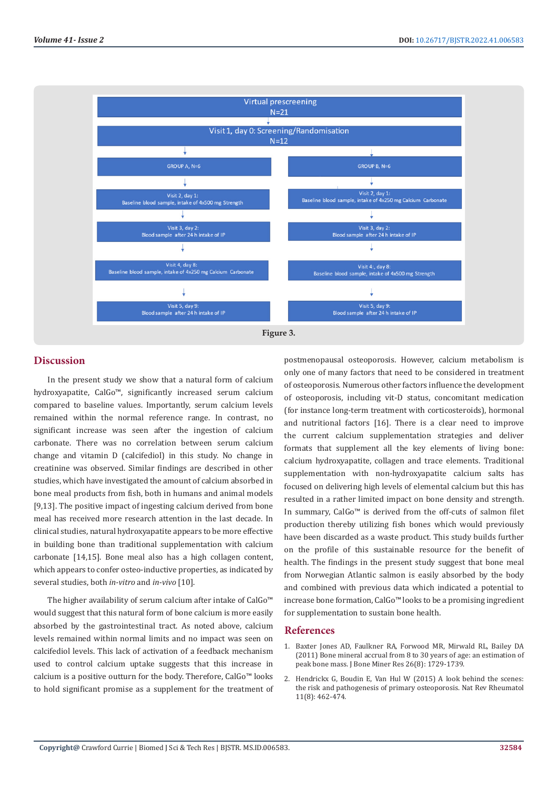

# **Discussion**

In the present study we show that a natural form of calcium hydroxyapatite, CalGo™, significantly increased serum calcium compared to baseline values. Importantly, serum calcium levels remained within the normal reference range. In contrast, no significant increase was seen after the ingestion of calcium carbonate. There was no correlation between serum calcium change and vitamin D (calcifediol) in this study. No change in creatinine was observed. Similar findings are described in other studies, which have investigated the amount of calcium absorbed in bone meal products from fish, both in humans and animal models [9,13]. The positive impact of ingesting calcium derived from bone meal has received more research attention in the last decade. In clinical studies, natural hydroxyapatite appears to be more effective in building bone than traditional supplementation with calcium carbonate [14,15]. Bone meal also has a high collagen content, which appears to confer osteo-inductive properties, as indicated by several studies, both *in-vitro* and *in-vivo* [10].

The higher availability of serum calcium after intake of CalGo™ would suggest that this natural form of bone calcium is more easily absorbed by the gastrointestinal tract. As noted above, calcium levels remained within normal limits and no impact was seen on calcifediol levels. This lack of activation of a feedback mechanism used to control calcium uptake suggests that this increase in calcium is a positive outturn for the body. Therefore, CalGo™ looks to hold significant promise as a supplement for the treatment of postmenopausal osteoporosis. However, calcium metabolism is only one of many factors that need to be considered in treatment of osteoporosis. Numerous other factors influence the development of osteoporosis, including vit-D status, concomitant medication (for instance long-term treatment with corticosteroids), hormonal and nutritional factors [16]. There is a clear need to improve the current calcium supplementation strategies and deliver formats that supplement all the key elements of living bone: calcium hydroxyapatite, collagen and trace elements. Traditional supplementation with non-hydroxyapatite calcium salts has focused on delivering high levels of elemental calcium but this has resulted in a rather limited impact on bone density and strength. In summary, CalGo™ is derived from the off-cuts of salmon filet production thereby utilizing fish bones which would previously have been discarded as a waste product. This study builds further on the profile of this sustainable resource for the benefit of health. The findings in the present study suggest that bone meal from Norwegian Atlantic salmon is easily absorbed by the body and combined with previous data which indicated a potential to increase bone formation, CalGo™ looks to be a promising ingredient for supplementation to sustain bone health.

### **References**

- 1. [Baxter Jones AD, Faulkner RA, Forwood MR, Mirwald RL, Bailey DA](https://pubmed.ncbi.nlm.nih.gov/21520276/) [\(2011\) Bone mineral accrual from 8 to 30 years of age: an estimation of](https://pubmed.ncbi.nlm.nih.gov/21520276/) [peak bone mass. J Bone Miner Res 26\(8\): 1729-1739.](https://pubmed.ncbi.nlm.nih.gov/21520276/)
- 2. [Hendrickx G, Boudin E, Van Hul W \(2015\) A look behind the scenes:](https://pubmed.ncbi.nlm.nih.gov/25900210/) [the risk and pathogenesis of primary osteoporosis. Nat Rev Rheumatol](https://pubmed.ncbi.nlm.nih.gov/25900210/) [11\(8\): 462-474.](https://pubmed.ncbi.nlm.nih.gov/25900210/)